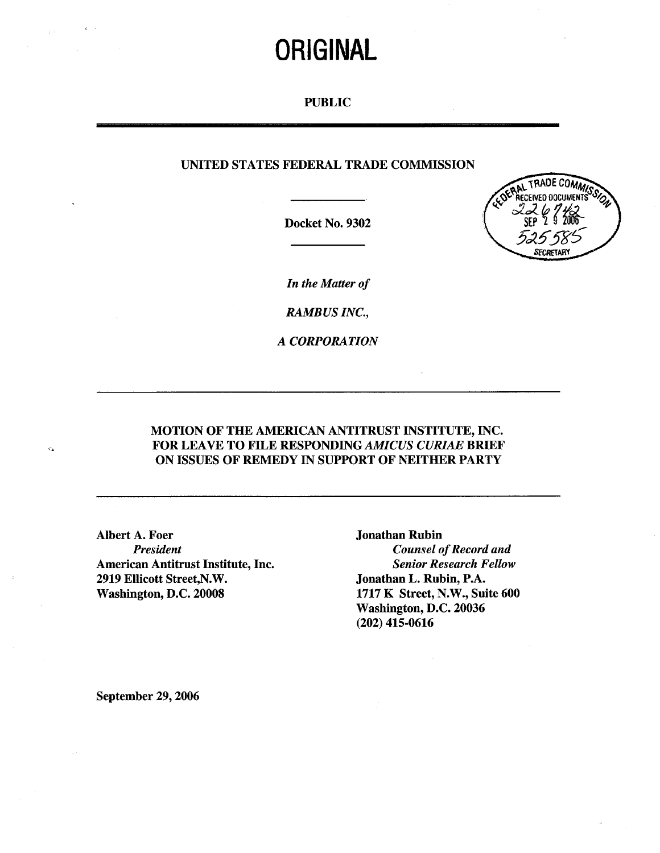# ORIGINAL

## PUBLIC

# UNITED STATES FEDERAL TRADE COMMISSION

Docket No. 9302



In the Matter of

RAMBUS INC.,

A CORPORATION

# MOTION OF THE AMERICAN ANTITRUST INSTITUTE, INC. FOR LEAVE TO FILE RESPONDING *AMICUS CURIAE* BRIEF ON ISSUES OF REMEDY IN SUPPORT OF NEITHER PARTY

Albert A. Foer Jonathan Rubin<br>President Counsel of American Antitrust Institute, Inc. 2919 Ellicott Street, N.W.<br>
Washington, D.C. 20008 1717 K Street, N.W., Sui

**Counsel of Record and<br>Senior Research Fellow** 1717 K Street, N.W., Suite 600 Washington, D.C. 20036 (202) 415-0616

September 29, 2006

 $\vec{C}$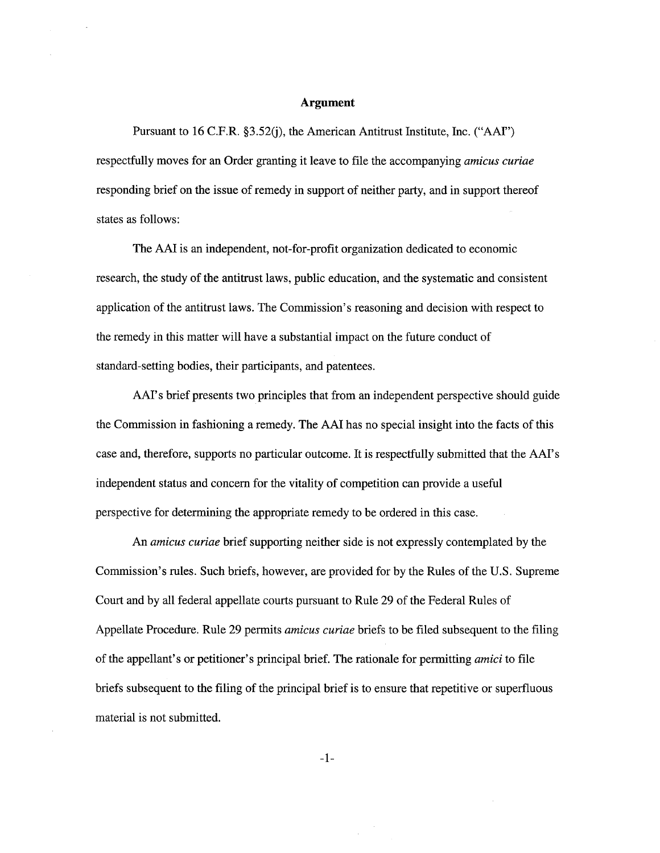## Argument

Pursuant to 16 C.F.R.  $\S 3.52(j)$ , the American Antitrust Institute, Inc. ("AAI") respectfully moves for an Order granting it leave to file the accompanying amicus curiae responding brief on the issue of remedy in support of neither pary, and in support thereof states as follows:

The AAI is an independent, not-for-profit organization dedicated to economic research, the study of the antitrust laws, public education, and the systematic and consistent application of the antitrust laws. The Commission's reasoning and decision with respect to the remedy in this matter will have a substantial impact on the future conduct of standard-setting bodies, their paricipants, and patentees.

AAI's brief presents two principles that from an independent perspective should guide the Commission in fashioning a remedy. The AAI has no special insight into the facts of this case and, therefore, supports no paricular outcome. It is respectfully submitted that the AAI's independent status and concern for the vitality of competition can provide a useful perspective for determining the appropriate remedy to be ordered in this case.

An amicus curiae brief supporting neither side is not expressly contemplated by the Commission's rules. Such briefs, however, are provided for by the Rules of the U.S. Supreme Court and by all federal appellate courts pursuant to Rule 29 of the Federal Rules of Appellate Procedure. Rule 29 permits amicus curiae briefs to be filed subsequent to the filing of the appellant's or petitioner's principal brief. The rationale for permitting *amici* to file briefs subsequent to the filing of the principal brief is to ensure that repetitive or superfuous material is not submitted.

 $-1-$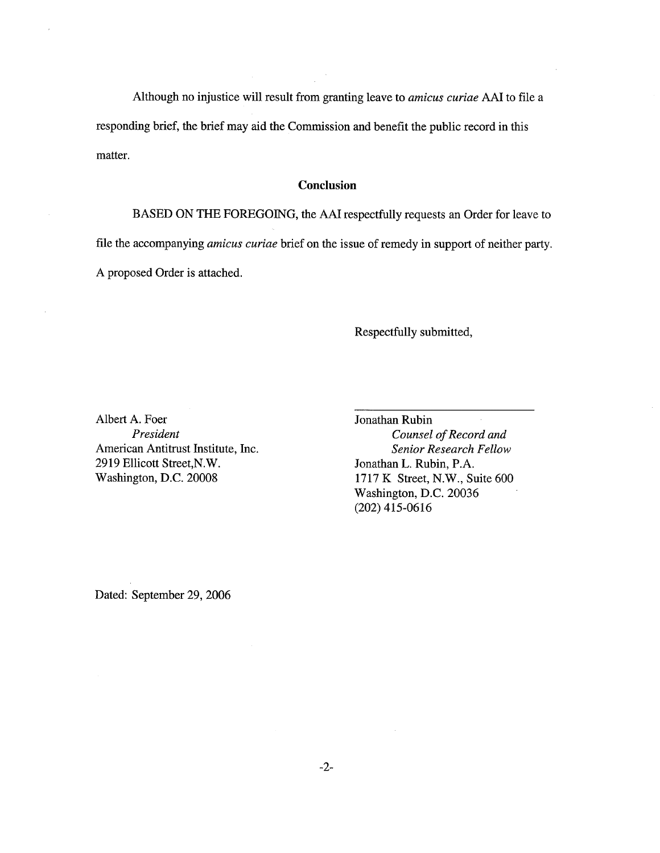Although no injustice will result from granting leave to *amicus curiae* AAI to file a responding brief, the brief may aid the Commission and benefit the public record in this matter.

#### **Conclusion**

BASED ON THE FOREGOING, the AAI respectfully requests an Order for leave to file the accompanying *amicus curiae* brief on the issue of remedy in support of neither party. A proposed Order is attached.

Respectfully submitted,

Albert A. Foer Jonathan Rubin American Antitrust Institute, Inc. Senior Research Fellow 2919 Ellicott Street, N.W. Jonathan L. Rubin, P.A.

President Counsel of Record and Washington, D.C. 20008 1717 K Street, N.W., Suite 600 Washington, D.C. 20036 (202) 415-0616

Dated: September 29, 2006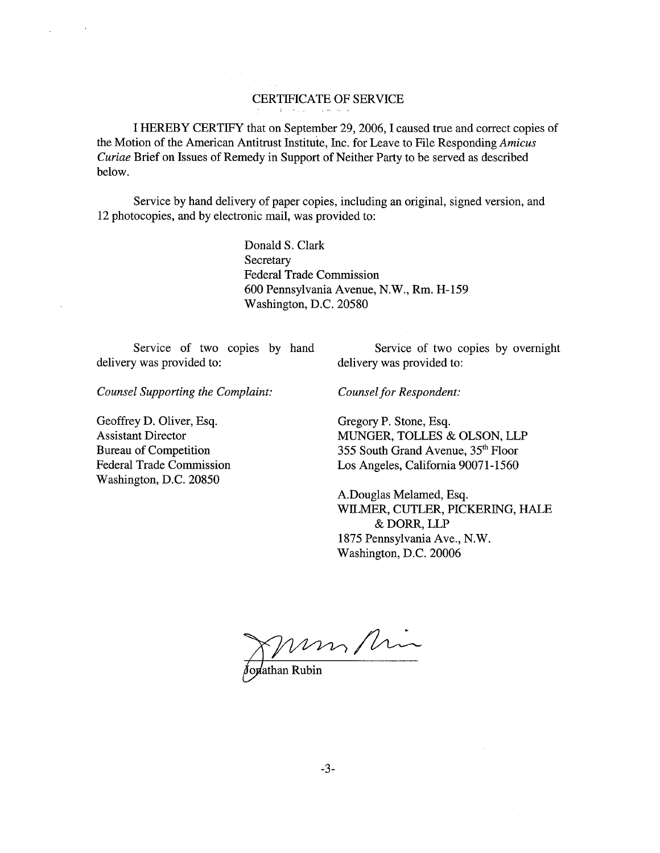# CERTIFICATE OF SERVICE

I HEREBY CERTIFY that on September 29 2006, I caused true and correct copies of the Motion of the American Antitrust Institute, Inc. for Leave to File Responding Amicus Curiae Brief on Issues of Remedy in Support of Neither Pary to be served as described below.

Service by hand delivery of paper copies, including an original, signed version, and 12 photocopies, and by electronic mail, was provided to:

> Donald S. Clark **Secretary** Federal Trade Commission 600 Pennsylvania Avenue, N.W., Rm. H-159 Washington, D.C. 20580

delivery was provided to: delivery was provided to:

Service of two copies by hand Service of two copies by overnight

Counsel Supporting the Complaint: Counsel for Respondent:

Geoffrey D. Oliver, Esq. Gregory P. Stone, Esq. Washington, D.C. 20850

Assistant Director MUNGER, TOLLES & OLSON, LLP Bureau of Competition 355 South Grand Avenue, 35<sup>th</sup> Floor Federal Trade Commission Los Angeles, California 90071-1560

> A.Douglas Melamed, Esq. WILMER, CUTLER, PICKERING, HALE & DORR, LLP 1875 Pennsylvania Ave., N.W. Washington, D.C. 20006

Joshathan Rubin